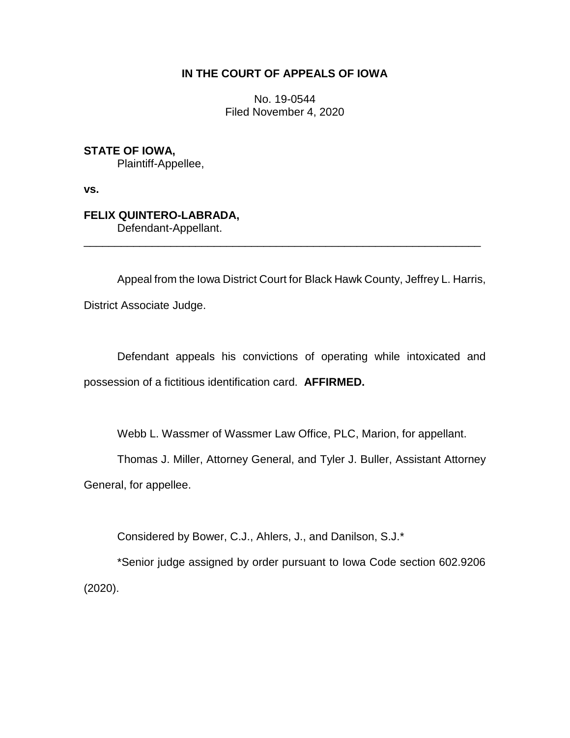# **IN THE COURT OF APPEALS OF IOWA**

No. 19-0544 Filed November 4, 2020

**STATE OF IOWA,** Plaintiff-Appellee,

**vs.**

**FELIX QUINTERO-LABRADA,** Defendant-Appellant.

Appeal from the Iowa District Court for Black Hawk County, Jeffrey L. Harris, District Associate Judge.

\_\_\_\_\_\_\_\_\_\_\_\_\_\_\_\_\_\_\_\_\_\_\_\_\_\_\_\_\_\_\_\_\_\_\_\_\_\_\_\_\_\_\_\_\_\_\_\_\_\_\_\_\_\_\_\_\_\_\_\_\_\_\_\_

Defendant appeals his convictions of operating while intoxicated and possession of a fictitious identification card. **AFFIRMED.**

Webb L. Wassmer of Wassmer Law Office, PLC, Marion, for appellant.

Thomas J. Miller, Attorney General, and Tyler J. Buller, Assistant Attorney

General, for appellee.

Considered by Bower, C.J., Ahlers, J., and Danilson, S.J.\*

\*Senior judge assigned by order pursuant to Iowa Code section 602.9206 (2020).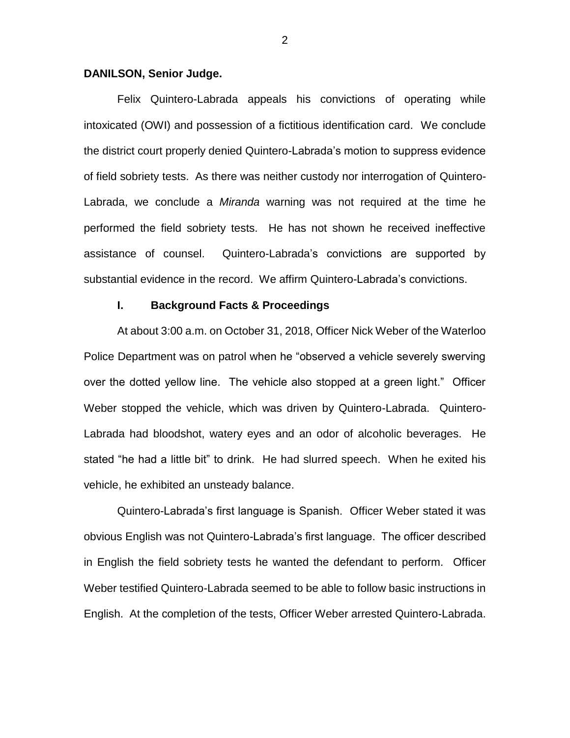#### **DANILSON, Senior Judge.**

Felix Quintero-Labrada appeals his convictions of operating while intoxicated (OWI) and possession of a fictitious identification card. We conclude the district court properly denied Quintero-Labrada's motion to suppress evidence of field sobriety tests. As there was neither custody nor interrogation of Quintero-Labrada, we conclude a *Miranda* warning was not required at the time he performed the field sobriety tests. He has not shown he received ineffective assistance of counsel. Quintero-Labrada's convictions are supported by substantial evidence in the record. We affirm Quintero-Labrada's convictions.

### **I. Background Facts & Proceedings**

At about 3:00 a.m. on October 31, 2018, Officer Nick Weber of the Waterloo Police Department was on patrol when he "observed a vehicle severely swerving over the dotted yellow line. The vehicle also stopped at a green light." Officer Weber stopped the vehicle, which was driven by Quintero-Labrada. Quintero-Labrada had bloodshot, watery eyes and an odor of alcoholic beverages. He stated "he had a little bit" to drink. He had slurred speech. When he exited his vehicle, he exhibited an unsteady balance.

Quintero-Labrada's first language is Spanish. Officer Weber stated it was obvious English was not Quintero-Labrada's first language. The officer described in English the field sobriety tests he wanted the defendant to perform. Officer Weber testified Quintero-Labrada seemed to be able to follow basic instructions in English. At the completion of the tests, Officer Weber arrested Quintero-Labrada.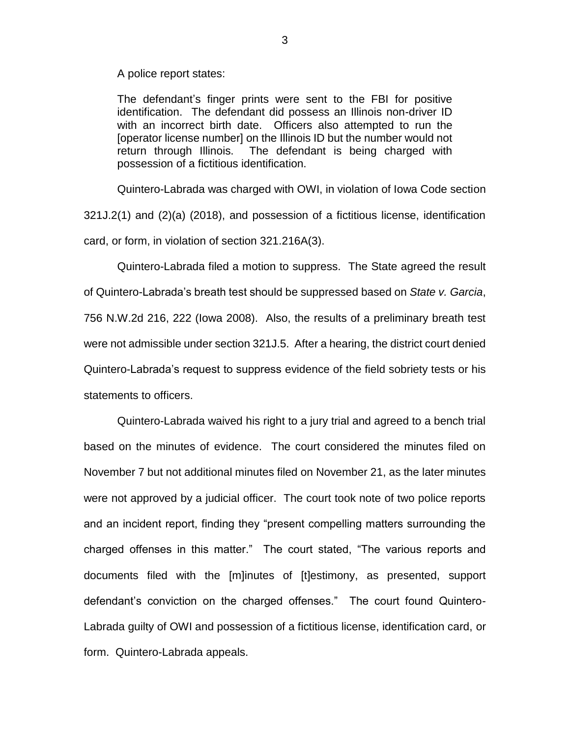A police report states:

The defendant's finger prints were sent to the FBI for positive identification. The defendant did possess an Illinois non-driver ID with an incorrect birth date. Officers also attempted to run the [operator license number] on the Illinois ID but the number would not return through Illinois. The defendant is being charged with possession of a fictitious identification.

Quintero-Labrada was charged with OWI, in violation of Iowa Code section 321J.2(1) and (2)(a) (2018), and possession of a fictitious license, identification card, or form, in violation of section 321.216A(3).

Quintero-Labrada filed a motion to suppress. The State agreed the result of Quintero-Labrada's breath test should be suppressed based on *State v. Garcia*, 756 N.W.2d 216, 222 (Iowa 2008). Also, the results of a preliminary breath test were not admissible under section 321J.5. After a hearing, the district court denied Quintero-Labrada's request to suppress evidence of the field sobriety tests or his statements to officers.

Quintero-Labrada waived his right to a jury trial and agreed to a bench trial based on the minutes of evidence. The court considered the minutes filed on November 7 but not additional minutes filed on November 21, as the later minutes were not approved by a judicial officer. The court took note of two police reports and an incident report, finding they "present compelling matters surrounding the charged offenses in this matter." The court stated, "The various reports and documents filed with the [m]inutes of [t]estimony, as presented, support defendant's conviction on the charged offenses." The court found Quintero-Labrada guilty of OWI and possession of a fictitious license, identification card, or form. Quintero-Labrada appeals.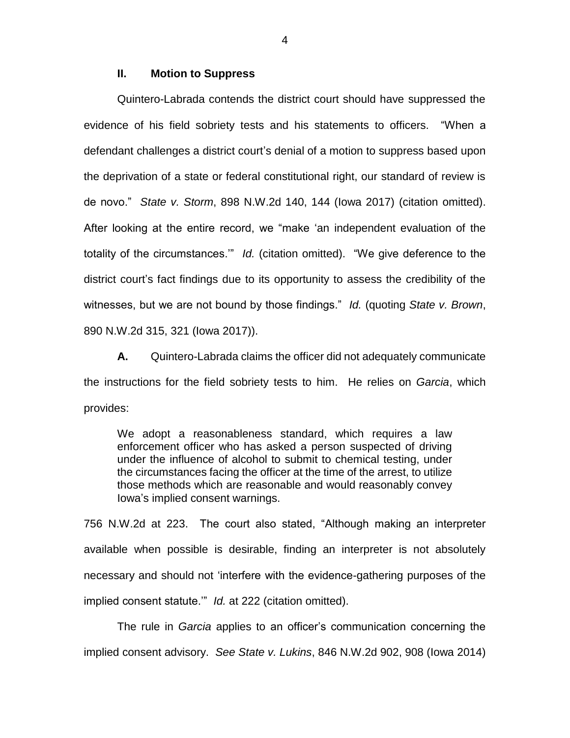## **II. Motion to Suppress**

Quintero-Labrada contends the district court should have suppressed the evidence of his field sobriety tests and his statements to officers. "When a defendant challenges a district court's denial of a motion to suppress based upon the deprivation of a state or federal constitutional right, our standard of review is de novo." *State v. Storm*, 898 N.W.2d 140, 144 (Iowa 2017) (citation omitted). After looking at the entire record, we "make 'an independent evaluation of the totality of the circumstances.'" *Id.* (citation omitted). "We give deference to the district court's fact findings due to its opportunity to assess the credibility of the witnesses, but we are not bound by those findings." *Id.* (quoting *State v. Brown*, 890 N.W.2d 315, 321 (Iowa 2017)).

**A.** Quintero-Labrada claims the officer did not adequately communicate the instructions for the field sobriety tests to him. He relies on *Garcia*, which provides:

We adopt a reasonableness standard, which requires a law enforcement officer who has asked a person suspected of driving under the influence of alcohol to submit to chemical testing, under the circumstances facing the officer at the time of the arrest, to utilize those methods which are reasonable and would reasonably convey Iowa's implied consent warnings.

756 N.W.2d at 223. The court also stated, "Although making an interpreter available when possible is desirable, finding an interpreter is not absolutely necessary and should not 'interfere with the evidence-gathering purposes of the implied consent statute.'" *Id.* at 222 (citation omitted).

The rule in *Garcia* applies to an officer's communication concerning the implied consent advisory. *See State v. Lukins*, 846 N.W.2d 902, 908 (Iowa 2014)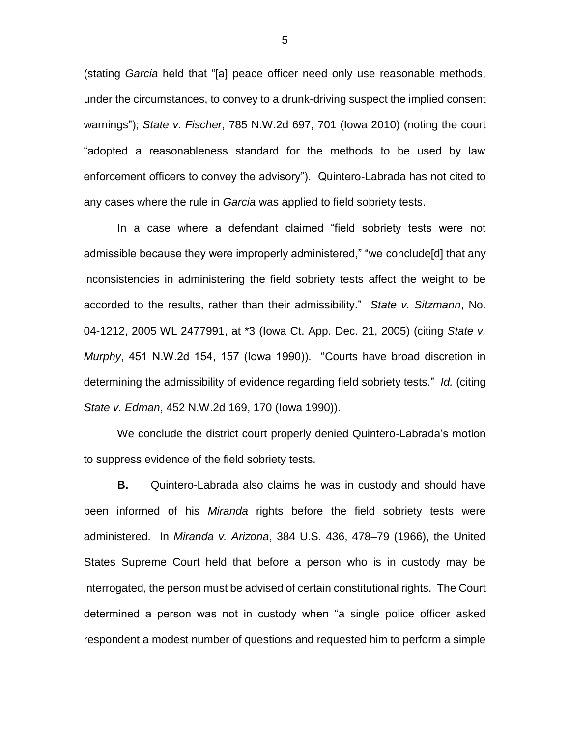(stating *Garcia* held that "[a] peace officer need only use reasonable methods, under the circumstances, to convey to a drunk-driving suspect the implied consent warnings"); *State v. Fischer*, 785 N.W.2d 697, 701 (Iowa 2010) (noting the court "adopted a reasonableness standard for the methods to be used by law enforcement officers to convey the advisory"). Quintero-Labrada has not cited to any cases where the rule in *Garcia* was applied to field sobriety tests.

In a case where a defendant claimed "field sobriety tests were not admissible because they were improperly administered," "we conclude[d] that any inconsistencies in administering the field sobriety tests affect the weight to be accorded to the results, rather than their admissibility." *State v. Sitzmann*, No. 04-1212, 2005 WL 2477991, at \*3 (Iowa Ct. App. Dec. 21, 2005) (citing *State v. Murphy*, 451 N.W.2d 154, 157 (Iowa 1990)). "Courts have broad discretion in determining the admissibility of evidence regarding field sobriety tests." *Id.* (citing *State v. Edman*, 452 N.W.2d 169, 170 (Iowa 1990)).

We conclude the district court properly denied Quintero-Labrada's motion to suppress evidence of the field sobriety tests.

**B.** Quintero-Labrada also claims he was in custody and should have been informed of his *Miranda* rights before the field sobriety tests were administered. In *Miranda v. Arizona*, 384 U.S. 436, 478–79 (1966), the United States Supreme Court held that before a person who is in custody may be interrogated, the person must be advised of certain constitutional rights. The Court determined a person was not in custody when "a single police officer asked respondent a modest number of questions and requested him to perform a simple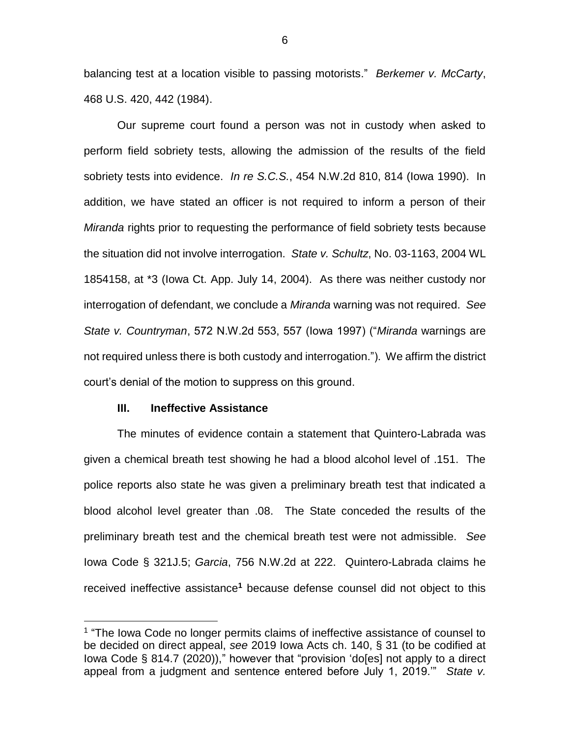balancing test at a location visible to passing motorists." *Berkemer v. McCarty*, 468 U.S. 420, 442 (1984).

Our supreme court found a person was not in custody when asked to perform field sobriety tests, allowing the admission of the results of the field sobriety tests into evidence. *In re S.C.S.*, 454 N.W.2d 810, 814 (Iowa 1990). In addition, we have stated an officer is not required to inform a person of their *Miranda* rights prior to requesting the performance of field sobriety tests because the situation did not involve interrogation. *State v. Schultz*, No. 03-1163, 2004 WL 1854158, at \*3 (Iowa Ct. App. July 14, 2004). As there was neither custody nor interrogation of defendant, we conclude a *Miranda* warning was not required. *See State v. Countryman*, 572 N.W.2d 553, 557 (Iowa 1997) ("*Miranda* warnings are not required unless there is both custody and interrogation."). We affirm the district court's denial of the motion to suppress on this ground.

## **III. Ineffective Assistance**

 $\overline{a}$ 

The minutes of evidence contain a statement that Quintero-Labrada was given a chemical breath test showing he had a blood alcohol level of .151. The police reports also state he was given a preliminary breath test that indicated a blood alcohol level greater than .08. The State conceded the results of the preliminary breath test and the chemical breath test were not admissible. *See* Iowa Code § 321J.5; *Garcia*, 756 N.W.2d at 222. Quintero-Labrada claims he received ineffective assistance**<sup>1</sup>** because defense counsel did not object to this

<sup>&</sup>lt;sup>1</sup> "The lowa Code no longer permits claims of ineffective assistance of counsel to be decided on direct appeal, *see* 2019 Iowa Acts ch. 140, § 31 (to be codified at Iowa Code § 814.7 (2020))," however that "provision 'do[es] not apply to a direct appeal from a judgment and sentence entered before July 1, 2019.'" *State v.*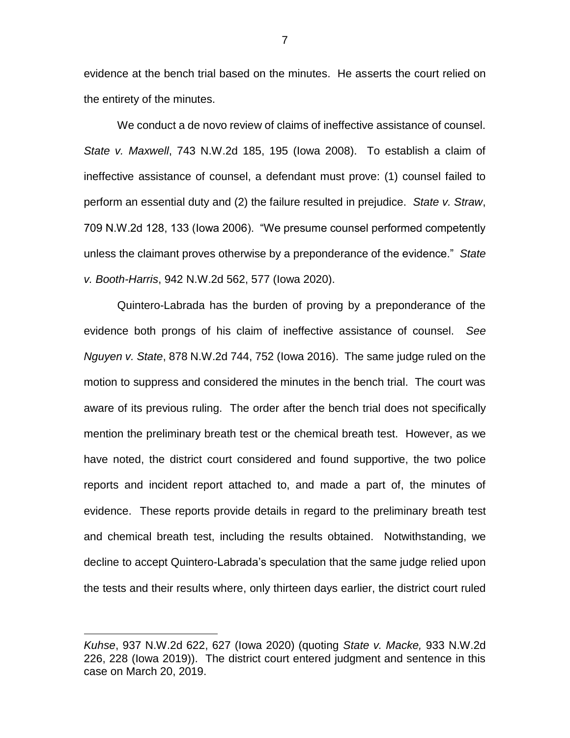evidence at the bench trial based on the minutes. He asserts the court relied on the entirety of the minutes.

We conduct a de novo review of claims of ineffective assistance of counsel. *State v. Maxwell*, 743 N.W.2d 185, 195 (Iowa 2008). To establish a claim of ineffective assistance of counsel, a defendant must prove: (1) counsel failed to perform an essential duty and (2) the failure resulted in prejudice. *State v. Straw*, 709 N.W.2d 128, 133 (Iowa 2006). "We presume counsel performed competently unless the claimant proves otherwise by a preponderance of the evidence." *State v. Booth-Harris*, 942 N.W.2d 562, 577 (Iowa 2020).

Quintero-Labrada has the burden of proving by a preponderance of the evidence both prongs of his claim of ineffective assistance of counsel. *See Nguyen v. State*, 878 N.W.2d 744, 752 (Iowa 2016). The same judge ruled on the motion to suppress and considered the minutes in the bench trial. The court was aware of its previous ruling. The order after the bench trial does not specifically mention the preliminary breath test or the chemical breath test. However, as we have noted, the district court considered and found supportive, the two police reports and incident report attached to, and made a part of, the minutes of evidence. These reports provide details in regard to the preliminary breath test and chemical breath test, including the results obtained. Notwithstanding, we decline to accept Quintero-Labrada's speculation that the same judge relied upon the tests and their results where, only thirteen days earlier, the district court ruled

 $\overline{a}$ 

*Kuhse*, 937 N.W.2d 622, 627 (Iowa 2020) (quoting *State v. Macke,* 933 N.W.2d 226, 228 (Iowa 2019)). The district court entered judgment and sentence in this case on March 20, 2019.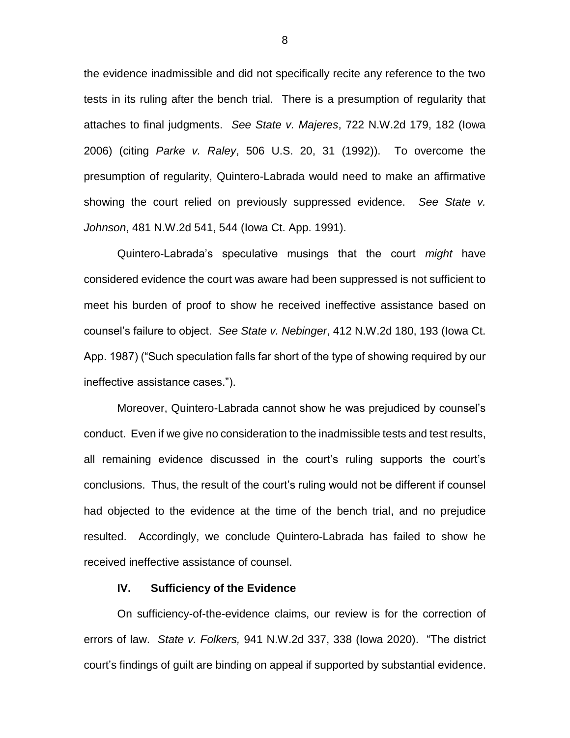the evidence inadmissible and did not specifically recite any reference to the two tests in its ruling after the bench trial. There is a presumption of regularity that attaches to final judgments. *See State v. Majeres*, 722 N.W.2d 179, 182 (Iowa 2006) (citing *Parke v. Raley*, 506 U.S. 20, 31 (1992)). To overcome the presumption of regularity, Quintero-Labrada would need to make an affirmative showing the court relied on previously suppressed evidence. *See State v. Johnson*, 481 N.W.2d 541, 544 (Iowa Ct. App. 1991).

Quintero-Labrada's speculative musings that the court *might* have considered evidence the court was aware had been suppressed is not sufficient to meet his burden of proof to show he received ineffective assistance based on counsel's failure to object. *See State v. Nebinger*, 412 N.W.2d 180, 193 (Iowa Ct. App. 1987) ("Such speculation falls far short of the type of showing required by our ineffective assistance cases.").

Moreover, Quintero-Labrada cannot show he was prejudiced by counsel's conduct. Even if we give no consideration to the inadmissible tests and test results, all remaining evidence discussed in the court's ruling supports the court's conclusions. Thus, the result of the court's ruling would not be different if counsel had objected to the evidence at the time of the bench trial, and no prejudice resulted. Accordingly, we conclude Quintero-Labrada has failed to show he received ineffective assistance of counsel.

## **IV. Sufficiency of the Evidence**

On sufficiency-of-the-evidence claims, our review is for the correction of errors of law. *State v. Folkers,* 941 N.W.2d 337, 338 (Iowa 2020). "The district court's findings of guilt are binding on appeal if supported by substantial evidence.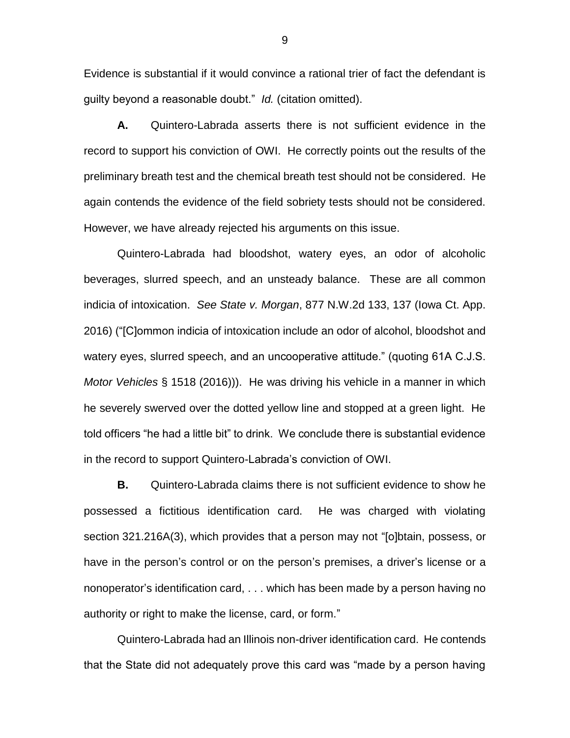Evidence is substantial if it would convince a rational trier of fact the defendant is guilty beyond a reasonable doubt." *Id.* (citation omitted).

**A.** Quintero-Labrada asserts there is not sufficient evidence in the record to support his conviction of OWI. He correctly points out the results of the preliminary breath test and the chemical breath test should not be considered. He again contends the evidence of the field sobriety tests should not be considered. However, we have already rejected his arguments on this issue.

Quintero-Labrada had bloodshot, watery eyes, an odor of alcoholic beverages, slurred speech, and an unsteady balance. These are all common indicia of intoxication. *See State v. Morgan*, 877 N.W.2d 133, 137 (Iowa Ct. App. 2016) ("[C]ommon indicia of intoxication include an odor of alcohol, bloodshot and watery eyes, slurred speech, and an uncooperative attitude." (quoting 61A C.J.S. *Motor Vehicles* § 1518 (2016))). He was driving his vehicle in a manner in which he severely swerved over the dotted yellow line and stopped at a green light. He told officers "he had a little bit" to drink. We conclude there is substantial evidence in the record to support Quintero-Labrada's conviction of OWI.

**B.** Quintero-Labrada claims there is not sufficient evidence to show he possessed a fictitious identification card. He was charged with violating section 321.216A(3), which provides that a person may not "[o]btain, possess, or have in the person's control or on the person's premises, a driver's license or a nonoperator's identification card, . . . which has been made by a person having no authority or right to make the license, card, or form."

Quintero-Labrada had an Illinois non-driver identification card. He contends that the State did not adequately prove this card was "made by a person having